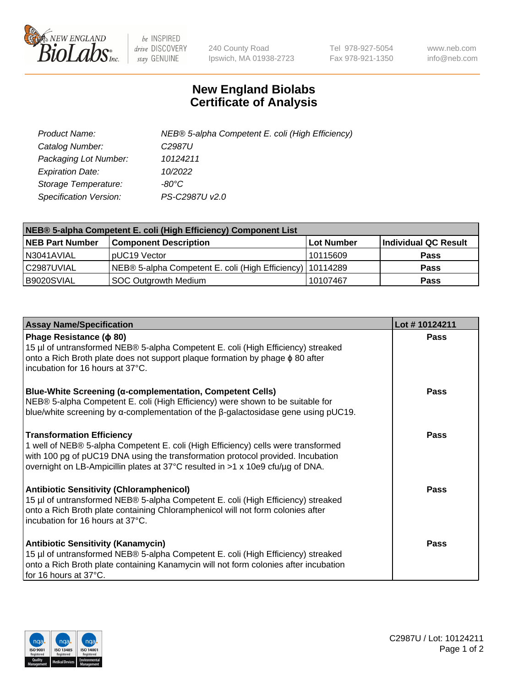

 $be$  INSPIRED drive DISCOVERY stay GENUINE

240 County Road Ipswich, MA 01938-2723 Tel 978-927-5054 Fax 978-921-1350 www.neb.com info@neb.com

## **New England Biolabs Certificate of Analysis**

| Product Name:           | NEB® 5-alpha Competent E. coli (High Efficiency) |
|-------------------------|--------------------------------------------------|
| Catalog Number:         | C <sub>2987</sub> U                              |
| Packaging Lot Number:   | 10124211                                         |
| <b>Expiration Date:</b> | 10/2022                                          |
| Storage Temperature:    | -80°C                                            |
| Specification Version:  | PS-C2987U v2.0                                   |

| NEB® 5-alpha Competent E. coli (High Efficiency) Component List |                                                             |                   |                      |  |
|-----------------------------------------------------------------|-------------------------------------------------------------|-------------------|----------------------|--|
| <b>NEB Part Number</b>                                          | <b>Component Description</b>                                | <b>Lot Number</b> | Individual QC Result |  |
| N3041AVIAL                                                      | pUC19 Vector                                                | 10115609          | <b>Pass</b>          |  |
| C2987UVIAL                                                      | NEB® 5-alpha Competent E. coli (High Efficiency)   10114289 |                   | <b>Pass</b>          |  |
| B9020SVIAL                                                      | SOC Outgrowth Medium                                        | 10107467          | <b>Pass</b>          |  |

| <b>Assay Name/Specification</b>                                                                                                                                                                                                                                                            | Lot #10124211 |
|--------------------------------------------------------------------------------------------------------------------------------------------------------------------------------------------------------------------------------------------------------------------------------------------|---------------|
| Phage Resistance ( $\phi$ 80)<br>15 µl of untransformed NEB® 5-alpha Competent E. coli (High Efficiency) streaked<br>onto a Rich Broth plate does not support plaque formation by phage $\phi$ 80 after<br>incubation for 16 hours at 37°C.                                                | <b>Pass</b>   |
| <b>Blue-White Screening (α-complementation, Competent Cells)</b><br>NEB® 5-alpha Competent E. coli (High Efficiency) were shown to be suitable for<br>blue/white screening by $\alpha$ -complementation of the $\beta$ -galactosidase gene using pUC19.                                    | Pass          |
| <b>Transformation Efficiency</b><br>1 well of NEB® 5-alpha Competent E. coli (High Efficiency) cells were transformed<br>with 100 pg of pUC19 DNA using the transformation protocol provided. Incubation<br>overnight on LB-Ampicillin plates at 37°C resulted in >1 x 10e9 cfu/µg of DNA. | Pass          |
| <b>Antibiotic Sensitivity (Chloramphenicol)</b><br>15 µl of untransformed NEB® 5-alpha Competent E. coli (High Efficiency) streaked<br>onto a Rich Broth plate containing Chloramphenicol will not form colonies after<br>incubation for 16 hours at 37°C.                                 | Pass          |
| <b>Antibiotic Sensitivity (Kanamycin)</b><br>15 µl of untransformed NEB® 5-alpha Competent E. coli (High Efficiency) streaked<br>onto a Rich Broth plate containing Kanamycin will not form colonies after incubation<br>for 16 hours at 37°C.                                             | Pass          |